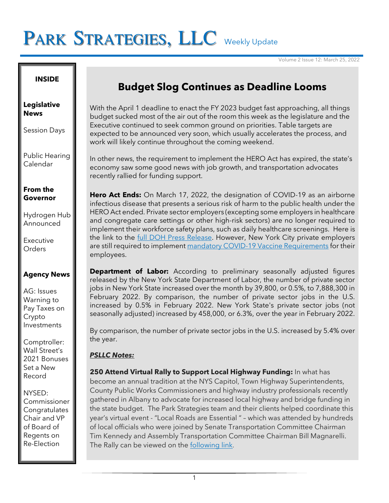# PARK STRATEGIES, LLC Weekly Update

Volume 2 Issue 12: March 25, 2022

### **INSIDE**

#### **Legislative News**

Session Days

Public Hearing Calendar

### **From the Governor**

Hydrogen Hub Announced

Executive **Orders** 

## **Agency News**

AG: Issues Warning to Pay Taxes on Crypto Investments

Comptroller: Wall Street's 2021 Bonuses Set a New Record

NYSED: Commissioner Congratulates Chair and VP of Board of Regents on Re-Election

## **Budget Slog Continues as Deadline Looms**

With the April 1 deadline to enact the FY 2023 budget fast approaching, all things budget sucked most of the air out of the room this week as the legislature and the Executive continued to seek common ground on priorities. Table targets are expected to be announced very soon, which usually accelerates the process, and work will likely continue throughout the coming weekend.

In other news, the requirement to implement the HERO Act has expired, the state's economy saw some good news with job growth, and transportation advocates recently rallied for funding support.

**Hero Act Ends:** On March 17, 2022, the designation of COVID-19 as an airborne infectious disease that presents a serious risk of harm to the public health under the HERO Act ended. Private sector employers (excepting some employers in healthcare and congregate care settings or other high-risk sectors) are no longer required to implement their workforce safety plans, such as daily healthcare screenings. Here is the link to the **full DOH Press Release**. However, New York City private employers are still required to implemen[t mandatory COVID-19 Vaccine Requirements](https://www1.nyc.gov/site/doh/covid/covid-19-vaccine-workplace-requirement.page) for their employees.

**Department of Labor:** According to preliminary seasonally adjusted figures released by the New York State Department of Labor, the number of private sector jobs in New York State increased over the month by 39,800, or 0.5%, to 7,888,300 in February 2022. By comparison, the number of private sector jobs in the U.S. increased by 0.5% in February 2022. New York State's private sector jobs (not seasonally adjusted) increased by 458,000, or 6.3%, over the year in February 2022.

By comparison, the number of private sector jobs in the U.S. increased by 5.4% over the year.

## *PSLLC Notes:*

**250 Attend Virtual Rally to Support Local Highway Funding:** In what has become an annual tradition at the NYS Capitol, Town Highway Superintendents, County Public Works Commissioners and highway industry professionals recently gathered in Albany to advocate for increased local highway and bridge funding in the state budget. The Park Strategies team and their clients helped coordinate this year's virtual event - "Local Roads are Essential " – which was attended by hundreds of local officials who were joined by Senate Transportation Committee Chairman Tim Kennedy and Assembly Transportation Committee Chairman Bill Magnarelli. The Rally can be viewed on the [following link](https://link.edgepilot.com/s/758c3cd0/H3j8_a1_o0_AfuwL4SJj1A?u=https://www.countyhwys.org/local-roads-are-essential).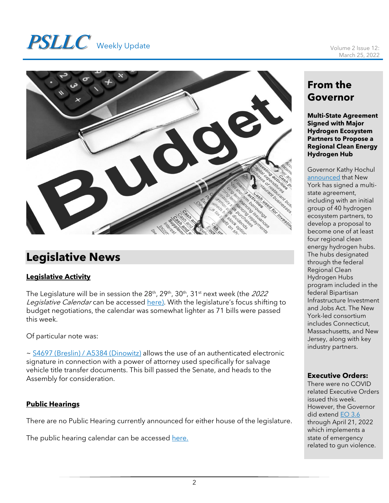# **PSLLC** Weekly Update Volume 2 Issue 12:



# **Legislative News**

## **Legislative Activity**

The Legislature will be in session the 28<sup>th</sup>, 29<sup>th</sup>, 30<sup>th</sup>, 31<sup>st</sup> next week (the *2022* Legislative Calendar can be accessed [here\)](https://www.nyassembly.gov/leg/docs/sessioncalendar_2022.pdf). With the legislature's focus shifting to budget negotiations, the calendar was somewhat lighter as 71 bills were passed this week.

Of particular note was:

~ [S4697 \(Breslin\) / A5384 \(Dinowitz\)](https://www.nysenate.gov/legislation/bills/2021/s4697) allows the use of an authenticated electronic signature in connection with a power of attorney used specifically for salvage vehicle title transfer documents. This bill passed the Senate, and heads to the Assembly for consideration.

## **Public Hearings**

There are no Public Hearing currently announced for either house of the legislature.

The public hearing calendar can be accessed [here.](https://www.nyassembly.gov/leg/?sh=hear)

## **From the Governor**

**Multi-State Agreement Signed with Major Hydrogen Ecosystem Partners to Propose a Regional Clean Energy Hydrogen Hub**

Governor Kathy Hochul [announced](https://www.governor.ny.gov/news/governor-hochul-announces-multi-state-agreement-signed-major-hydrogen-ecosystem-partners) that New York has signed a multistate agreement, including with an initial group of 40 hydrogen ecosystem partners, to develop a proposal to become one of at least four regional clean energy hydrogen hubs. The hubs designated through the federal Regional Clean Hydrogen Hubs program included in the federal Bipartisan Infrastructure Investment and Jobs Act. The New York-led consortium includes Connecticut, Massachusetts, and New Jersey, along with key industry partners.

## **Executive Orders:**

There were no COVID related Executive Orders issued this week. However, the Governor did extend **EO 3.6** through April 21, 2022 which implements a state of emergency related to gun violence.